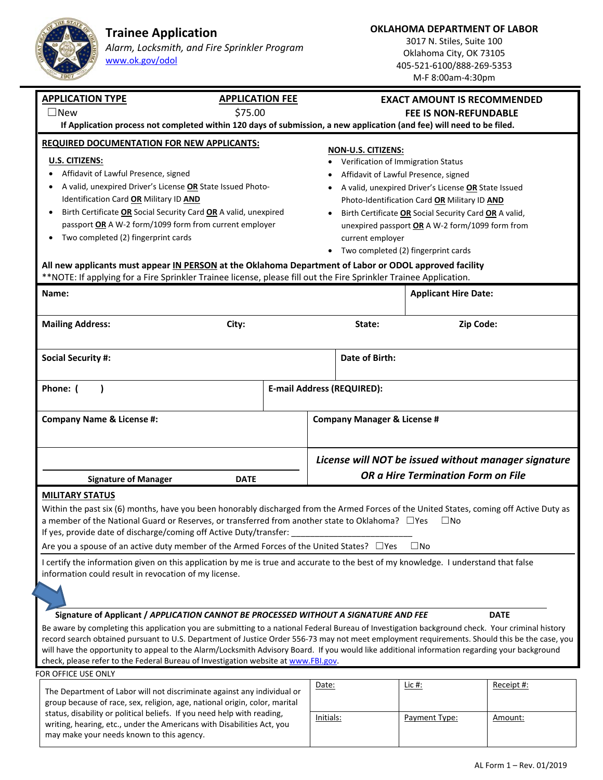**Trainee Application**  *Alarm, Locksmith, and Fire Sprinkler Program*

www.ok.gov/odol

**OKLAHOMA DEPARTMENT OF LABOR** 

3017 N. Stiles, Suite 100 Oklahoma City, OK 73105 405‐521‐6100/888‐269‐5353  $M.E.8:002m-4:30p$ 

| 1901                                                                                                                                                                                                                                                                                                                                                                                                                                                                                                                                                                                                                                                                    |                        |                                                                                                                                                                                                                                                                                                                                                                                                                                        | M-F 8:00am-4:30pm                  |            |  |
|-------------------------------------------------------------------------------------------------------------------------------------------------------------------------------------------------------------------------------------------------------------------------------------------------------------------------------------------------------------------------------------------------------------------------------------------------------------------------------------------------------------------------------------------------------------------------------------------------------------------------------------------------------------------------|------------------------|----------------------------------------------------------------------------------------------------------------------------------------------------------------------------------------------------------------------------------------------------------------------------------------------------------------------------------------------------------------------------------------------------------------------------------------|------------------------------------|------------|--|
| <b>APPLICATION TYPE</b>                                                                                                                                                                                                                                                                                                                                                                                                                                                                                                                                                                                                                                                 | <b>APPLICATION FEE</b> |                                                                                                                                                                                                                                                                                                                                                                                                                                        | <b>EXACT AMOUNT IS RECOMMENDED</b> |            |  |
| $\Box$ New                                                                                                                                                                                                                                                                                                                                                                                                                                                                                                                                                                                                                                                              |                        | <b>FEE IS NON-REFUNDABLE</b>                                                                                                                                                                                                                                                                                                                                                                                                           |                                    |            |  |
| If Application process not completed within 120 days of submission, a new application (and fee) will need to be filed.                                                                                                                                                                                                                                                                                                                                                                                                                                                                                                                                                  |                        |                                                                                                                                                                                                                                                                                                                                                                                                                                        |                                    |            |  |
| <b>REQUIRED DOCUMENTATION FOR NEW APPLICANTS:</b><br>U.S. CITIZENS:<br>Affidavit of Lawful Presence, signed<br>A valid, unexpired Driver's License OR State Issued Photo-<br>Identification Card OR Military ID AND<br>Birth Certificate OR Social Security Card OR A valid, unexpired<br>passport OR A W-2 form/1099 form from current employer<br>Two completed (2) fingerprint cards<br>All new applicants must appear IN PERSON at the Oklahoma Department of Labor or ODOL approved facility<br>**NOTE: If applying for a Fire Sprinkler Trainee license, please fill out the Fire Sprinkler Trainee Application.<br>Name:                                         |                        | <b>NON-U.S. CITIZENS:</b><br>Verification of Immigration Status<br>Affidavit of Lawful Presence, signed<br>٠<br>A valid, unexpired Driver's License OR State Issued<br>Photo-Identification Card OR Military ID AND<br>Birth Certificate OR Social Security Card OR A valid,<br>unexpired passport OR A W-2 form/1099 form from<br>current employer<br>Two completed (2) fingerprint cards<br>$\bullet$<br><b>Applicant Hire Date:</b> |                                    |            |  |
| <b>Mailing Address:</b><br>City:                                                                                                                                                                                                                                                                                                                                                                                                                                                                                                                                                                                                                                        |                        | State:                                                                                                                                                                                                                                                                                                                                                                                                                                 | Zip Code:                          |            |  |
| <b>Social Security #:</b>                                                                                                                                                                                                                                                                                                                                                                                                                                                                                                                                                                                                                                               |                        | Date of Birth:                                                                                                                                                                                                                                                                                                                                                                                                                         |                                    |            |  |
| Phone: (                                                                                                                                                                                                                                                                                                                                                                                                                                                                                                                                                                                                                                                                |                        | <b>E-mail Address (REQUIRED):</b>                                                                                                                                                                                                                                                                                                                                                                                                      |                                    |            |  |
| <b>Company Name &amp; License #:</b>                                                                                                                                                                                                                                                                                                                                                                                                                                                                                                                                                                                                                                    |                        | <b>Company Manager &amp; License #</b>                                                                                                                                                                                                                                                                                                                                                                                                 |                                    |            |  |
|                                                                                                                                                                                                                                                                                                                                                                                                                                                                                                                                                                                                                                                                         |                        | License will NOT be issued without manager signature                                                                                                                                                                                                                                                                                                                                                                                   |                                    |            |  |
| <b>Signature of Manager</b>                                                                                                                                                                                                                                                                                                                                                                                                                                                                                                                                                                                                                                             | <b>DATE</b>            |                                                                                                                                                                                                                                                                                                                                                                                                                                        | OR a Hire Termination Form on File |            |  |
| <b>MILITARY STATUS</b><br>Within the past six (6) months, have you been honorably discharged from the Armed Forces of the United States, coming off Active Duty as<br>a member of the National Guard or Reserves, or transferred from another state to Oklahoma? DYes<br>$\square$ No<br>If yes, provide date of discharge/coming off Active Duty/transfer:<br>Are you a spouse of an active duty member of the Armed Forces of the United States? □Yes<br>$\square$ No<br>I certify the information given on this application by me is true and accurate to the best of my knowledge. I understand that false<br>information could result in revocation of my license. |                        |                                                                                                                                                                                                                                                                                                                                                                                                                                        |                                    |            |  |
| Signature of Applicant / APPLICATION CANNOT BE PROCESSED WITHOUT A SIGNATURE AND FEE<br><b>DATE</b><br>Be aware by completing this application you are submitting to a national Federal Bureau of Investigation background check. Your criminal history<br>record search obtained pursuant to U.S. Department of Justice Order 556-73 may not meet employment requirements. Should this be the case, you<br>will have the opportunity to appeal to the Alarm/Locksmith Advisory Board. If you would like additional information regarding your background<br>check, please refer to the Federal Bureau of Investigation website at www.FBI.gov.                         |                        |                                                                                                                                                                                                                                                                                                                                                                                                                                        |                                    |            |  |
| FOR OFFICE USE ONLY                                                                                                                                                                                                                                                                                                                                                                                                                                                                                                                                                                                                                                                     |                        |                                                                                                                                                                                                                                                                                                                                                                                                                                        |                                    |            |  |
| The Department of Labor will not discriminate against any individual or<br>group because of race, sex, religion, age, national origin, color, marital<br>status, disability or political beliefs. If you need help with reading,<br>writing, hearing, etc., under the Americans with Disabilities Act, you<br>may make your needs known to this agency.                                                                                                                                                                                                                                                                                                                 |                        | Date:                                                                                                                                                                                                                                                                                                                                                                                                                                  | <u>Lic #:</u>                      | Receipt #: |  |
|                                                                                                                                                                                                                                                                                                                                                                                                                                                                                                                                                                                                                                                                         |                        | Initials:                                                                                                                                                                                                                                                                                                                                                                                                                              | Payment Type:                      | Amount:    |  |